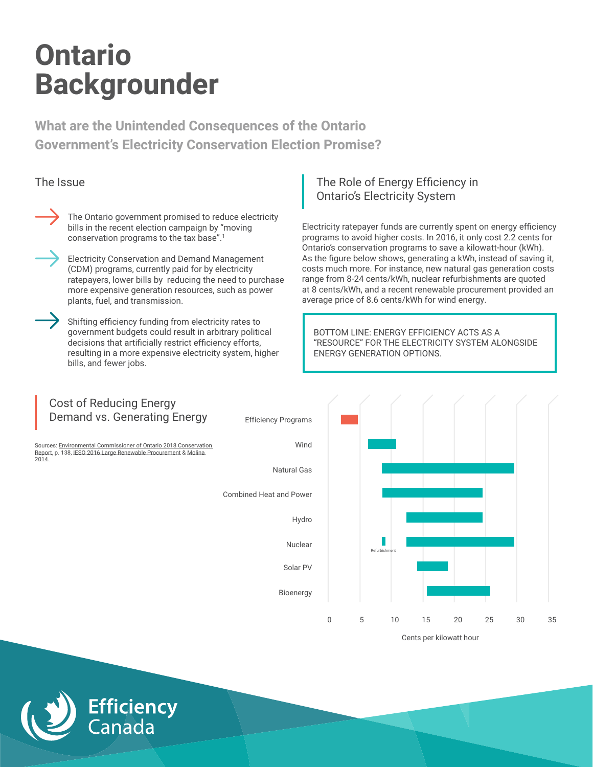**What are the Unintended Consequences of the Ontario Government's Electricity Conservation Election Promise?**



The Ontario government promised to reduce electricity bills in the recent election campaign by "moving conservation programs to the tax base".1

Electricity Conservation and Demand Management (CDM) programs, currently paid for by electricity ratepayers, lower bills by reducing the need to purchase more expensive generation resources, such as power plants, fuel, and transmission.

Shifting efficiency funding from electricity rates to government budgets could result in arbitrary political decisions that artificially restrict efficiency efforts, resulting in a more expensive electricity system, higher bills, and fewer jobs.

**Efficiency**<br>Canada

#### The Issue The Issue The Issue The Issue The Issue The Role of Energy Efficiency in Ontario's Electricity System

Electricity ratepayer funds are currently spent on energy efficiency programs to avoid higher costs. In 2016, it only cost 2.2 cents for Ontario's conservation programs to save a kilowatt-hour (kWh). As the figure below shows, generating a kWh, instead of saving it, costs much more. For instance, new natural gas generation costs range from 8-24 cents/kWh, nuclear refurbishments are quoted at 8 cents/kWh, and a recent renewable procurement provided an average price of 8.6 cents/kWh for wind energy.

BOTTOM LINE: ENERGY EFFICIENCY ACTS AS A "RESOURCE" FOR THE ELECTRICITY SYSTEM ALONGSIDE ENERGY GENERATION OPTIONS.

### Cost of Reducing Energy Demand vs. Generating Energy [Sources: Environmental Commissioner of Ontario 2018 Conservation](https://eco.on.ca/reports/2018-making-connections/) [Report, p. 138, I](https://aceee.org/blog/2017/12/new-data-same-results-saving-energy)[ESO 2016 Large Renewable Procurement](www.ieso.ca/corporate-ieso/media/news-releases/2016/03/ieso-announces-results-of-competitive-bids-for-large-renewable-projects) & Molina 2014. Efficiency Programs Wind Natural Gas Combined Heat and Power Hydro Nuclear Solar PV Bioenergy Cents per kilowatt hour 0 5 10 15 20 25 30 35 Refurbishment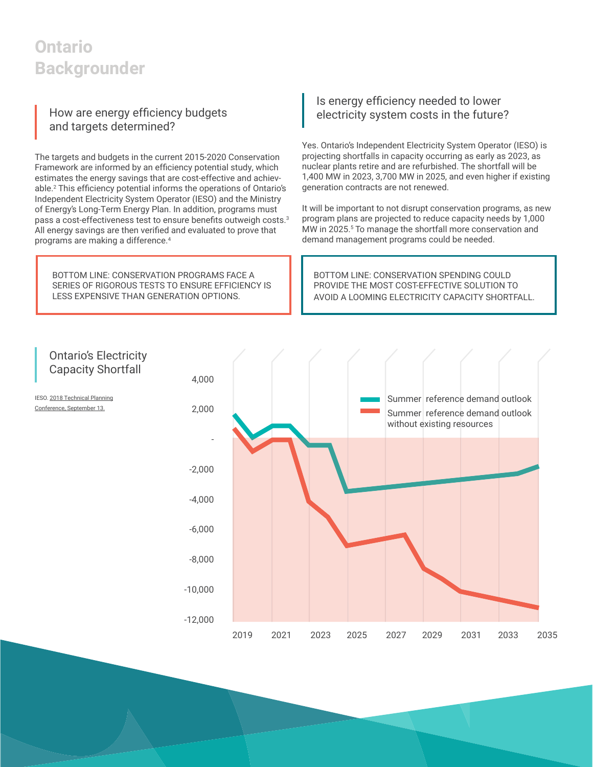#### How are energy efficiency budgets and targets determined?

The targets and budgets in the current 2015-2020 Conservation Framework are informed by an efficiency potential study, which estimates the energy savings that are cost-effective and achievable.2 This efficiency potential informs the operations of Ontario's Independent Electricity System Operator (IESO) and the Ministry of Energy's Long-Term Energy Plan. In addition, programs must pass a cost-effectiveness test to ensure benefits outweigh costs.<sup>3</sup> All energy savings are then verified and evaluated to prove that programs are making a difference.<sup>4</sup>

BOTTOM LINE: CONSERVATION PROGRAMS FACE A SERIES OF RIGOROUS TESTS TO ENSURE EFFICIENCY IS LESS EXPENSIVE THAN GENERATION OPTIONS.

#### Is energy efficiency needed to lower electricity system costs in the future?

Yes. Ontario's Independent Electricity System Operator (IESO) is projecting shortfalls in capacity occurring as early as 2023, as nuclear plants retire and are refurbished. The shortfall will be 1,400 MW in 2023, 3,700 MW in 2025, and even higher if existing generation contracts are not renewed.

It will be important to not disrupt conservation programs, as new program plans are projected to reduce capacity needs by 1,000 MW in 2025.<sup>5</sup> To manage the shortfall more conservation and demand management programs could be needed.

BOTTOM LINE: CONSERVATION SPENDING COULD PROVIDE THE MOST COST-EFFECTIVE SOLUTION TO AVOID A LOOMING ELECTRICITY CAPACITY SHORTFALL.

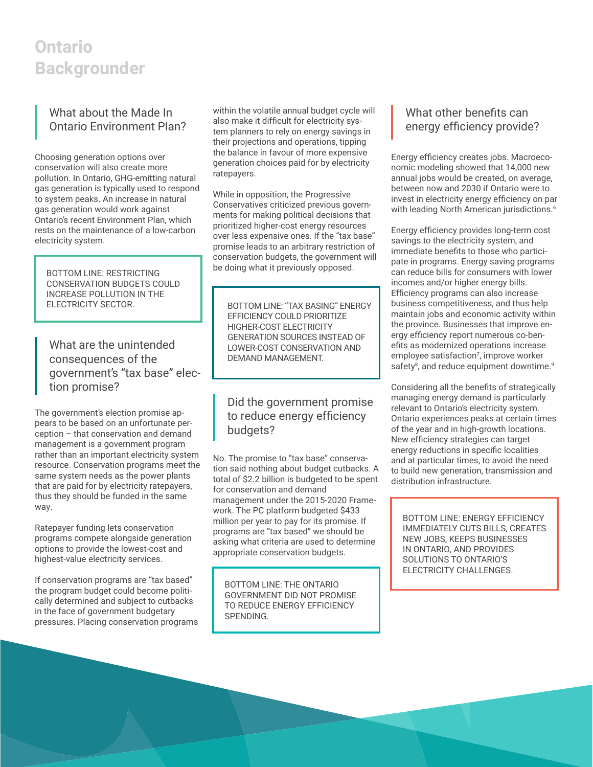#### What about the Made In Ontario Environment Plan?

Choosing generation options over conservation will also create more pollution. In Ontario, GHG-emitting natural gas generation is typically used to respond to system peaks. An increase in natural gas generation would work against Ontario's recent Environment Plan, which rests on the maintenance of a low-carbon electricity system.

BOTTOM LINE: RESTRICTING CONSERVATION BUDGETS COULD INCREASE POLLUTION IN THE<br>ELECTRICITY SECTOR.

What are the unintended consequences of the government's "tax base" election promise?

The government's election promise appears to be based on an unfortunate perception – that conservation and demand management is a government program rather than an important electricity system resource. Conservation programs meet the same system needs as the power plants that are paid for by electricity ratepayers, thus they should be funded in the same way.

Ratepayer funding lets conservation programs compete alongside generation options to provide the lowest-cost and highest-value electricity services.

If conservation programs are "tax based" the program budget could become politically determined and subject to cutbacks in the face of government budgetary pressures. Placing conservation programs within the volatile annual budget cycle will also make it difficult for electricity system planners to rely on energy savings in their projections and operations, tipping the balance in favour of more expensive generation choices paid for by electricity ratepayers.

While in opposition, the Progressive Conservatives criticized previous governments for making political decisions that prioritized higher-cost energy resources over less expensive ones. If the "tax base" promise leads to an arbitrary restriction of conservation budgets, the government will be doing what it previously opposed.

BOTTOM LINE: "TAX BASING" ENERGY EFFICIENCY COULD PRIORITIZE HIGHER-COST ELECTRICITY GENERATION SOURCES INSTEAD OF LOWER-COST CONSERVATION AND DEMAND MANAGEMENT.

#### Did the government promise to reduce energy efficiency budgets?

No. The promise to "tax base" conservation said nothing about budget cutbacks. A total of \$2.2 billion is budgeted to be spent for conservation and demand management under the 2015-2020 Framework. The PC platform budgeted \$433 million per year to pay for its promise. If programs are "tax based" we should be asking what criteria are used to determine appropriate conservation budgets.

BOTTOM LINE: THE ONTARIO GOVERNMENT DID NOT PROMISE TO REDUCE ENERGY EFFICIENCY SPENDING.

#### What other benefits can energy efficiency provide?

Energy efficiency creates jobs. Macroeconomic modeling showed that 14,000 new annual jobs would be created, on average, between now and 2030 if Ontario were to invest in electricity energy efficiency on par with leading North American jurisdictions.<sup>6</sup>

Energy efficiency provides long-term cost savings to the electricity system, and immediate benefits to those who participate in programs. Energy saving programs can reduce bills for consumers with lower incomes and/or higher energy bills. Efficiency programs can also increase business competitiveness, and thus help maintain jobs and economic activity within the province. Businesses that improve energy efficiency report numerous co-benefits as modernized operations increase employee satisfaction7 , improve worker safety<sup>8</sup>, and reduce equipment downtime.<sup>9</sup>

Considering all the benefits of strategically managing energy demand is particularly relevant to Ontario's electricity system. Ontario experiences peaks at certain times of the year and in high-growth locations. New efficiency strategies can target energy reductions in specific localities and at particular times, to avoid the need to build new generation, transmission and distribution infrastructure.

BOTTOM LINE: ENERGY EFFICIENCY IMMEDIATELY CUTS BILLS, CREATES NEW JOBS, KEEPS BUSINESSES IN ONTARIO, AND PROVIDES SOLUTIONS TO ONTARIO'S ELECTRICITY CHALLENGES.